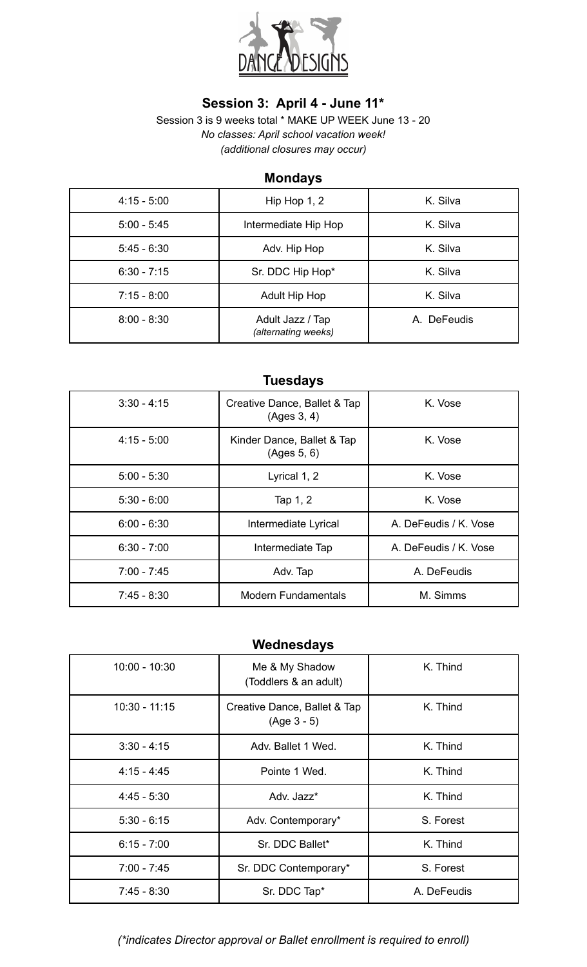

# **Session 3: April 4 - June 11\***

Session 3 is 9 weeks total \* MAKE UP WEEK June 13 - 20 *No classes: April school vacation week! (additional closures may occur)*

## **Mondays**

| $4:15 - 5:00$ | Hip Hop 1, 2                            | K. Silva    |
|---------------|-----------------------------------------|-------------|
| $5:00 - 5:45$ | Intermediate Hip Hop                    | K. Silva    |
| $5:45 - 6:30$ | Adv. Hip Hop                            | K. Silva    |
| $6:30 - 7:15$ | Sr. DDC Hip Hop*                        | K. Silva    |
| $7:15 - 8:00$ | <b>Adult Hip Hop</b>                    | K. Silva    |
| $8:00 - 8:30$ | Adult Jazz / Tap<br>(alternating weeks) | A. DeFeudis |

# **Tuesdays**

| $3:30 - 4:15$ | Creative Dance, Ballet & Tap<br>(Ages 3, 4) | K. Vose               |
|---------------|---------------------------------------------|-----------------------|
| $4:15 - 5:00$ | Kinder Dance, Ballet & Tap<br>(Ages 5, 6)   | K. Vose               |
| $5:00 - 5:30$ | Lyrical 1, 2                                | K. Vose               |
| $5:30 - 6:00$ | Tap 1, 2                                    | K. Vose               |
| $6:00 - 6:30$ | Intermediate Lyrical                        | A. DeFeudis / K. Vose |
| $6:30 - 7:00$ | Intermediate Tap                            | A. DeFeudis / K. Vose |
| $7:00 - 7:45$ | Adv. Tap                                    | A. DeFeudis           |
| $7:45 - 8:30$ | <b>Modern Fundamentals</b>                  | M. Simms              |

# **Wednesdays**

| $10:00 - 10:30$ | Me & My Shadow<br>(Toddlers & an adult)       | K. Thind    |
|-----------------|-----------------------------------------------|-------------|
| $10:30 - 11:15$ | Creative Dance, Ballet & Tap<br>$(Age 3 - 5)$ | K. Thind    |
| $3:30 - 4:15$   | Adv. Ballet 1 Wed.                            | K. Thind    |
| $4:15 - 4:45$   | Pointe 1 Wed.                                 | K. Thind    |
| $4:45 - 5:30$   | Adv. Jazz*                                    | K. Thind    |
| $5:30 - 6:15$   | Adv. Contemporary*                            | S. Forest   |
| $6:15 - 7:00$   | Sr. DDC Ballet*                               | K. Thind    |
| $7:00 - 7:45$   | Sr. DDC Contemporary*                         | S. Forest   |
| $7:45 - 8:30$   | Sr. DDC Tap*                                  | A. DeFeudis |

#### *(\*indicates Director approval or Ballet enrollment is required to enroll)*